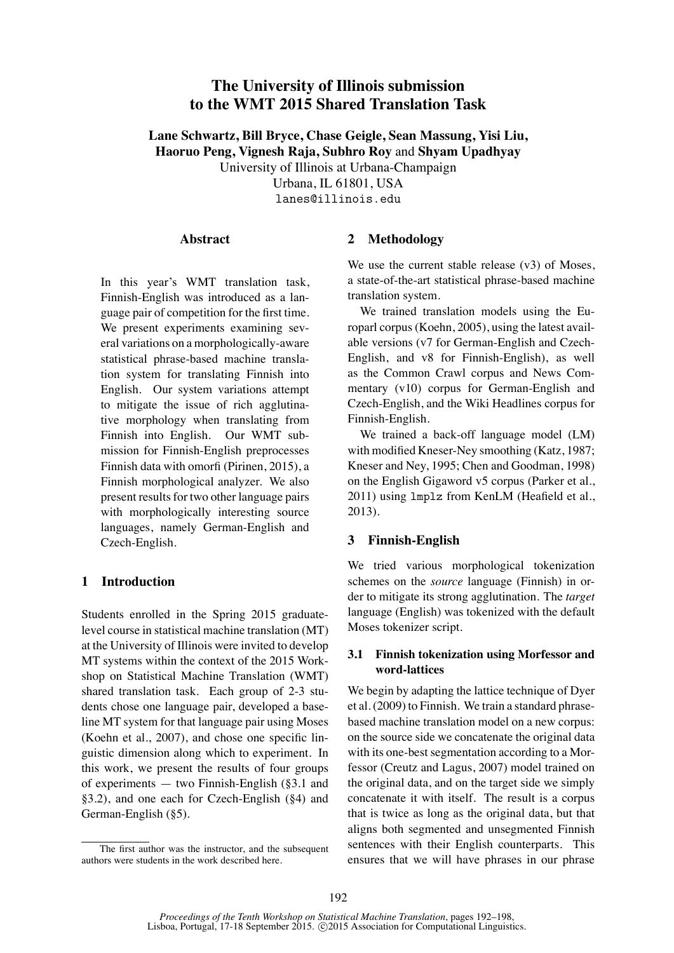# **The University of Illinois submission to the WMT 2015 Shared Translation Task**

**Lane Schwartz, Bill Bryce, Chase Geigle, Sean Massung, Yisi Liu, Haoruo Peng, Vignesh Raja, Subhro Roy** and **Shyam Upadhyay** University of Illinois at Urbana-Champaign Urbana, IL 61801, USA lanes@illinois.edu

#### **Abstract**

In this year's WMT translation task, Finnish-English was introduced as a language pair of competition for the first time. We present experiments examining several variations on a morphologically-aware statistical phrase-based machine translation system for translating Finnish into English. Our system variations attempt to mitigate the issue of rich agglutinative morphology when translating from Finnish into English. Our WMT submission for Finnish-English preprocesses Finnish data with omorfi (Pirinen, 2015), a Finnish morphological analyzer. We also present results for two other language pairs with morphologically interesting source languages, namely German-English and Czech-English.

### **1 Introduction**

Students enrolled in the Spring 2015 graduatelevel course in statistical machine translation (MT) at the University of Illinois were invited to develop MT systems within the context of the 2015 Workshop on Statistical Machine Translation (WMT) shared translation task. Each group of 2-3 students chose one language pair, developed a baseline MT system for that language pair using Moses (Koehn et al., 2007), and chose one specific linguistic dimension along which to experiment. In this work, we present the results of four groups of experiments — two Finnish-English (§3.1 and §3.2), and one each for Czech-English (§4) and German-English (§5).

#### **2 Methodology**

We use the current stable release (v3) of Moses, a state-of-the-art statistical phrase-based machine translation system.

We trained translation models using the Europarl corpus (Koehn, 2005), using the latest available versions (v7 for German-English and Czech-English, and v8 for Finnish-English), as well as the Common Crawl corpus and News Commentary (v10) corpus for German-English and Czech-English, and the Wiki Headlines corpus for Finnish-English.

We trained a back-off language model (LM) with modified Kneser-Ney smoothing (Katz, 1987; Kneser and Ney, 1995; Chen and Goodman, 1998) on the English Gigaword v5 corpus (Parker et al., 2011) using lmplz from KenLM (Heafield et al., 2013).

### **3 Finnish-English**

We tried various morphological tokenization schemes on the *source* language (Finnish) in order to mitigate its strong agglutination. The *target* language (English) was tokenized with the default Moses tokenizer script.

### **3.1 Finnish tokenization using Morfessor and word-lattices**

We begin by adapting the lattice technique of Dyer et al. (2009) to Finnish. We train a standard phrasebased machine translation model on a new corpus: on the source side we concatenate the original data with its one-best segmentation according to a Morfessor (Creutz and Lagus, 2007) model trained on the original data, and on the target side we simply concatenate it with itself. The result is a corpus that is twice as long as the original data, but that aligns both segmented and unsegmented Finnish sentences with their English counterparts. This ensures that we will have phrases in our phrase

The first author was the instructor, and the subsequent authors were students in the work described here.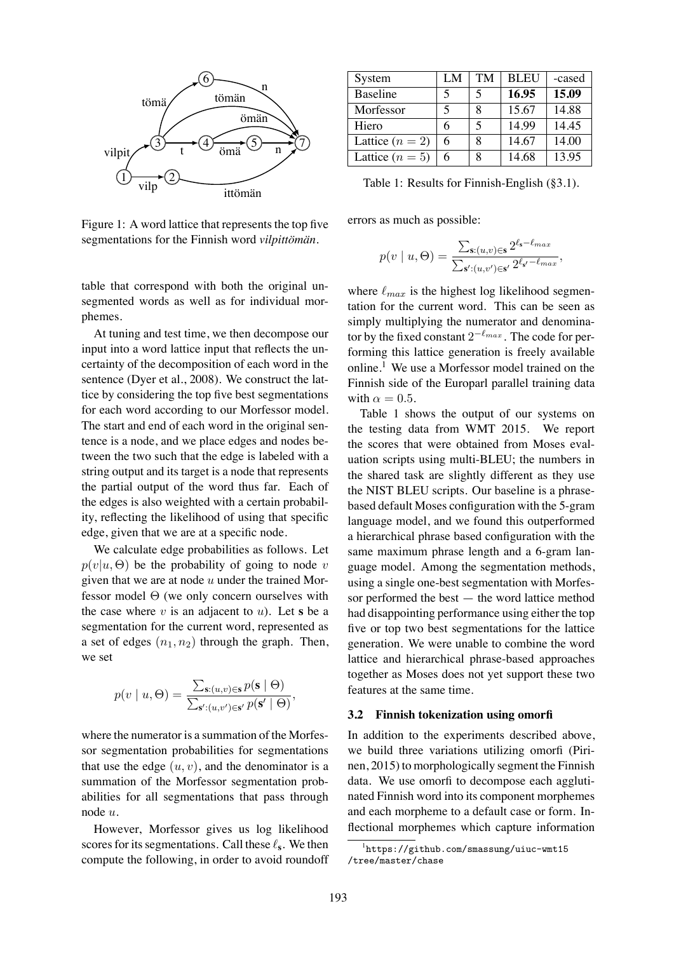

Figure 1: A word lattice that represents the top five segmentations for the Finnish word *vilpittömän*.

table that correspond with both the original unsegmented words as well as for individual morphemes.

At tuning and test time, we then decompose our input into a word lattice input that reflects the uncertainty of the decomposition of each word in the sentence (Dyer et al., 2008). We construct the lattice by considering the top five best segmentations for each word according to our Morfessor model. The start and end of each word in the original sentence is a node, and we place edges and nodes between the two such that the edge is labeled with a string output and its target is a node that represents the partial output of the word thus far. Each of the edges is also weighted with a certain probability, reflecting the likelihood of using that specific edge, given that we are at a specific node.

We calculate edge probabilities as follows. Let  $p(v|u, \Theta)$  be the probability of going to node v given that we are at node  $u$  under the trained Morfessor model  $\Theta$  (we only concern ourselves with the case where  $v$  is an adjacent to  $u$ ). Let **s** be a segmentation for the current word, represented as a set of edges  $(n_1, n_2)$  through the graph. Then, we set

$$
p(v \mid u, \Theta) = \frac{\sum_{\mathbf{s}: (u,v) \in \mathbf{s}} p(\mathbf{s} \mid \Theta)}{\sum_{\mathbf{s}': (u,v') \in \mathbf{s}'} p(\mathbf{s}' \mid \Theta)},
$$

where the numerator is a summation of the Morfessor segmentation probabilities for segmentations that use the edge  $(u, v)$ , and the denominator is a summation of the Morfessor segmentation probabilities for all segmentations that pass through node u.

However, Morfessor gives us log likelihood scores for its segmentations. Call these ℓ**<sup>s</sup>** . We then compute the following, in order to avoid roundoff

| System            | LM | <b>TM</b> | <b>BLEU</b> | -cased |
|-------------------|----|-----------|-------------|--------|
| <b>Baseline</b>   |    | 5         | 16.95       | 15.09  |
| Morfessor         |    | 8         | 15.67       | 14.88  |
| Hiero             | 6  | 5         | 14.99       | 14.45  |
| Lattice $(n = 2)$ | 6  | 8         | 14.67       | 14.00  |
| Lattice $(n=5)$   | 6  | 8         | 14.68       | 13.95  |

Table 1: Results for Finnish-English (§3.1).

errors as much as possible:

$$
p(v \mid u, \Theta) = \frac{\sum_{\mathbf{s}: (u,v) \in \mathbf{s}} 2^{\ell_{\mathbf{s}} - \ell_{max}}}{\sum_{\mathbf{s}': (u,v') \in \mathbf{s}'} 2^{\ell_{\mathbf{s}} - \ell_{max}}},
$$

where  $\ell_{max}$  is the highest log likelihood segmentation for the current word. This can be seen as simply multiplying the numerator and denominator by the fixed constant  $2^{-\ell_{max}}$ . The code for performing this lattice generation is freely available online.<sup>1</sup> We use a Morfessor model trained on the Finnish side of the Europarl parallel training data with  $\alpha = 0.5$ .

Table 1 shows the output of our systems on the testing data from WMT 2015. We report the scores that were obtained from Moses evaluation scripts using multi-BLEU; the numbers in the shared task are slightly different as they use the NIST BLEU scripts. Our baseline is a phrasebased default Moses configuration with the 5-gram language model, and we found this outperformed a hierarchical phrase based configuration with the same maximum phrase length and a 6-gram language model. Among the segmentation methods, using a single one-best segmentation with Morfessor performed the best — the word lattice method had disappointing performance using either the top five or top two best segmentations for the lattice generation. We were unable to combine the word lattice and hierarchical phrase-based approaches together as Moses does not yet support these two features at the same time.

#### **3.2 Finnish tokenization using omorfi**

In addition to the experiments described above, we build three variations utilizing omorfi (Pirinen, 2015) to morphologically segment the Finnish data. We use omorfi to decompose each agglutinated Finnish word into its component morphemes and each morpheme to a default case or form. Inflectional morphemes which capture information

<sup>1</sup> https://github.com/smassung/uiuc-wmt15 /tree/master/chase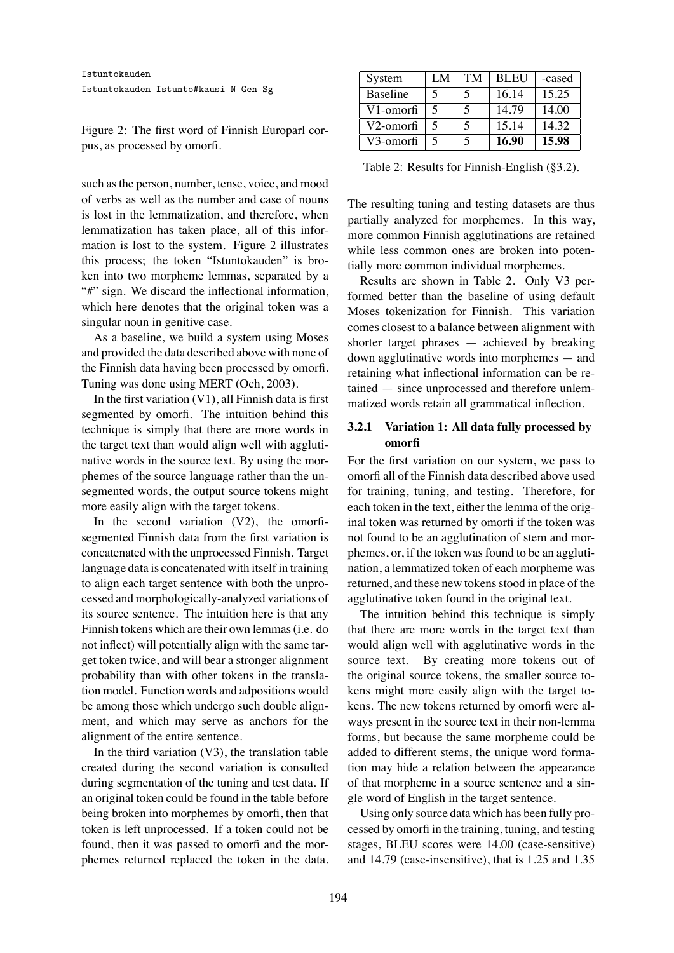Figure 2: The first word of Finnish Europarl corpus, as processed by omorfi.

such as the person, number, tense, voice, and mood of verbs as well as the number and case of nouns is lost in the lemmatization, and therefore, when lemmatization has taken place, all of this information is lost to the system. Figure 2 illustrates this process; the token "Istuntokauden" is broken into two morpheme lemmas, separated by a "#" sign. We discard the inflectional information, which here denotes that the original token was a singular noun in genitive case.

As a baseline, we build a system using Moses and provided the data described above with none of the Finnish data having been processed by omorfi. Tuning was done using MERT (Och, 2003).

In the first variation  $(V1)$ , all Finnish data is first segmented by omorfi. The intuition behind this technique is simply that there are more words in the target text than would align well with agglutinative words in the source text. By using the morphemes of the source language rather than the unsegmented words, the output source tokens might more easily align with the target tokens.

In the second variation  $(V2)$ , the omorfisegmented Finnish data from the first variation is concatenated with the unprocessed Finnish. Target language data is concatenated with itself in training to align each target sentence with both the unprocessed and morphologically-analyzed variations of its source sentence. The intuition here is that any Finnish tokens which are their own lemmas (i.e. do not inflect) will potentially align with the same target token twice, and will bear a stronger alignment probability than with other tokens in the translation model. Function words and adpositions would be among those which undergo such double alignment, and which may serve as anchors for the alignment of the entire sentence.

In the third variation  $(V3)$ , the translation table created during the second variation is consulted during segmentation of the tuning and test data. If an original token could be found in the table before being broken into morphemes by omorfi, then that token is left unprocessed. If a token could not be found, then it was passed to omorfi and the morphemes returned replaced the token in the data.

| System          | LM | <b>TM</b> | <b>BLEU</b> | -cased |
|-----------------|----|-----------|-------------|--------|
| <b>Baseline</b> |    |           | 16.14       | 15.25  |
| V1-omorfi       |    | 5         | 14.79       | 14.00  |
| V2-omorfi       |    |           | 15.14       | 14.32  |
| V3-omorfi       |    |           | 16.90       | 15.98  |

Table 2: Results for Finnish-English (§3.2).

The resulting tuning and testing datasets are thus partially analyzed for morphemes. In this way, more common Finnish agglutinations are retained while less common ones are broken into potentially more common individual morphemes.

Results are shown in Table 2. Only V3 performed better than the baseline of using default Moses tokenization for Finnish. This variation comes closest to a balance between alignment with shorter target phrases — achieved by breaking down agglutinative words into morphemes — and retaining what inflectional information can be retained — since unprocessed and therefore unlemmatized words retain all grammatical inflection.

## **3.2.1 Variation 1: All data fully processed by omorfi**

For the first variation on our system, we pass to omorfi all of the Finnish data described above used for training, tuning, and testing. Therefore, for each token in the text, either the lemma of the original token was returned by omorfi if the token was not found to be an agglutination of stem and morphemes, or, if the token was found to be an agglutination, a lemmatized token of each morpheme was returned, and these new tokens stood in place of the agglutinative token found in the original text.

The intuition behind this technique is simply that there are more words in the target text than would align well with agglutinative words in the source text. By creating more tokens out of the original source tokens, the smaller source tokens might more easily align with the target tokens. The new tokens returned by omorfi were always present in the source text in their non-lemma forms, but because the same morpheme could be added to different stems, the unique word formation may hide a relation between the appearance of that morpheme in a source sentence and a single word of English in the target sentence.

Using only source data which has been fully processed by omorfi in the training, tuning, and testing stages, BLEU scores were 14.00 (case-sensitive) and 14.79 (case-insensitive), that is 1.25 and 1.35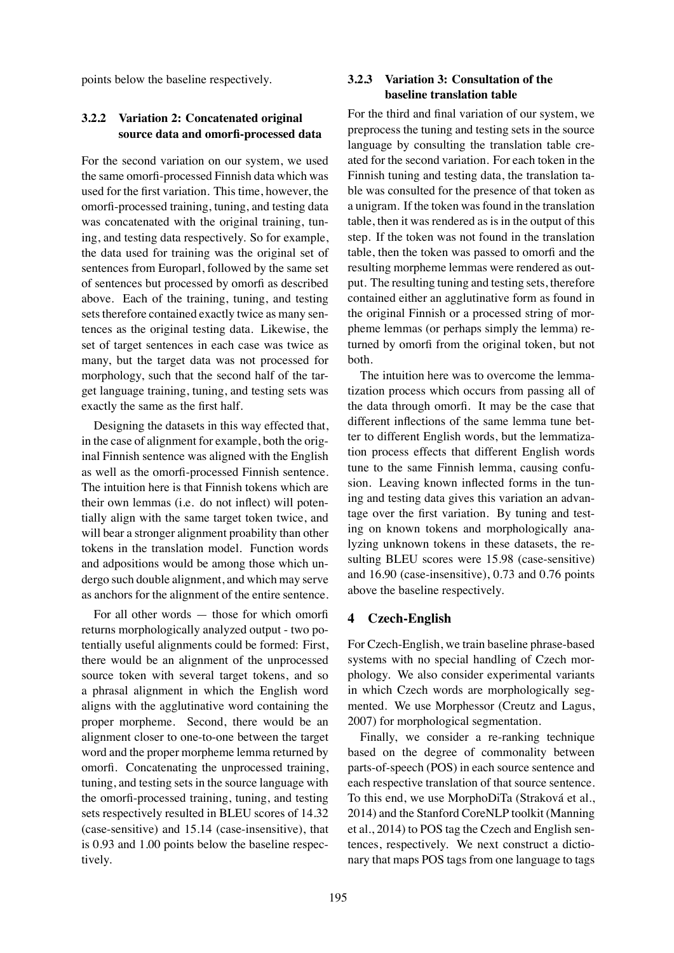points below the baseline respectively.

### **3.2.2 Variation 2: Concatenated original source data and omorfi-processed data**

For the second variation on our system, we used the same omorfi-processed Finnish data which was used for the first variation. This time, however, the omorfi-processed training, tuning, and testing data was concatenated with the original training, tuning, and testing data respectively. So for example, the data used for training was the original set of sentences from Europarl, followed by the same set of sentences but processed by omorfi as described above. Each of the training, tuning, and testing sets therefore contained exactly twice as many sentences as the original testing data. Likewise, the set of target sentences in each case was twice as many, but the target data was not processed for morphology, such that the second half of the target language training, tuning, and testing sets was exactly the same as the first half.

Designing the datasets in this way effected that, in the case of alignment for example, both the original Finnish sentence was aligned with the English as well as the omorfi-processed Finnish sentence. The intuition here is that Finnish tokens which are their own lemmas (i.e. do not inflect) will potentially align with the same target token twice, and will bear a stronger alignment proability than other tokens in the translation model. Function words and adpositions would be among those which undergo such double alignment, and which may serve as anchors for the alignment of the entire sentence.

For all other words — those for which omorfi returns morphologically analyzed output - two potentially useful alignments could be formed: First, there would be an alignment of the unprocessed source token with several target tokens, and so a phrasal alignment in which the English word aligns with the agglutinative word containing the proper morpheme. Second, there would be an alignment closer to one-to-one between the target word and the proper morpheme lemma returned by omorfi. Concatenating the unprocessed training, tuning, and testing sets in the source language with the omorfi-processed training, tuning, and testing sets respectively resulted in BLEU scores of 14.32 (case-sensitive) and 15.14 (case-insensitive), that is 0.93 and 1.00 points below the baseline respectively.

### **3.2.3 Variation 3: Consultation of the baseline translation table**

For the third and final variation of our system, we preprocess the tuning and testing sets in the source language by consulting the translation table created for the second variation. For each token in the Finnish tuning and testing data, the translation table was consulted for the presence of that token as a unigram. If the token was found in the translation table, then it was rendered as is in the output of this step. If the token was not found in the translation table, then the token was passed to omorfi and the resulting morpheme lemmas were rendered as output. The resulting tuning and testing sets, therefore contained either an agglutinative form as found in the original Finnish or a processed string of morpheme lemmas (or perhaps simply the lemma) returned by omorfi from the original token, but not both.

The intuition here was to overcome the lemmatization process which occurs from passing all of the data through omorfi. It may be the case that different inflections of the same lemma tune better to different English words, but the lemmatization process effects that different English words tune to the same Finnish lemma, causing confusion. Leaving known inflected forms in the tuning and testing data gives this variation an advantage over the first variation. By tuning and testing on known tokens and morphologically analyzing unknown tokens in these datasets, the resulting BLEU scores were 15.98 (case-sensitive) and 16.90 (case-insensitive), 0.73 and 0.76 points above the baseline respectively.

# **4 Czech-English**

For Czech-English, we train baseline phrase-based systems with no special handling of Czech morphology. We also consider experimental variants in which Czech words are morphologically segmented. We use Morphessor (Creutz and Lagus, 2007) for morphological segmentation.

Finally, we consider a re-ranking technique based on the degree of commonality between parts-of-speech (POS) in each source sentence and each respective translation of that source sentence. To this end, we use MorphoDiTa (Straková et al., 2014) and the Stanford CoreNLP toolkit (Manning et al., 2014) to POS tag the Czech and English sentences, respectively. We next construct a dictionary that maps POS tags from one language to tags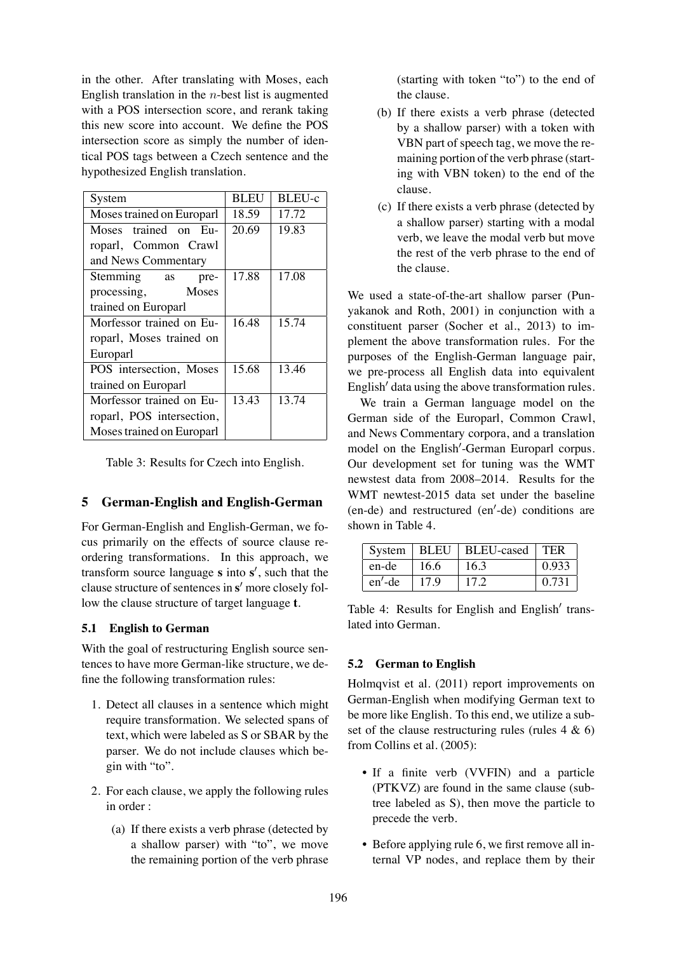in the other. After translating with Moses, each English translation in the  $n$ -best list is augmented with a POS intersection score, and rerank taking this new score into account. We define the POS intersection score as simply the number of identical POS tags between a Czech sentence and the hypothesized English translation.

| System                    | <b>BLEU</b> | BLEU-c |
|---------------------------|-------------|--------|
| Moses trained on Europarl | 18.59       | 17.72  |
| Moses trained on Eu-      | 20.69       | 19.83  |
| roparl, Common Crawl      |             |        |
| and News Commentary       |             |        |
| Stemming as<br>pre-       | 17.88       | 17.08  |
| processing, Moses         |             |        |
| trained on Europarl       |             |        |
| Morfessor trained on Eu-  | 16.48       | 15.74  |
| roparl, Moses trained on  |             |        |
| Europarl                  |             |        |
| POS intersection, Moses   | 15.68       | 13.46  |
| trained on Europarl       |             |        |
| Morfessor trained on Eu-  | 13.43       | 13.74  |
| roparl, POS intersection, |             |        |
| Moses trained on Europarl |             |        |

Table 3: Results for Czech into English.

### **5 German-English and English-German**

For German-English and English-German, we focus primarily on the effects of source clause reordering transformations. In this approach, we transform source language **s** into **s** ′ , such that the clause structure of sentences in **s** ′ more closely follow the clause structure of target language **t**.

#### **5.1 English to German**

With the goal of restructuring English source sentences to have more German-like structure, we define the following transformation rules:

- 1. Detect all clauses in a sentence which might require transformation. We selected spans of text, which were labeled as S or SBAR by the parser. We do not include clauses which begin with "to".
- 2. For each clause, we apply the following rules in order :
	- (a) If there exists a verb phrase (detected by a shallow parser) with "to", we move the remaining portion of the verb phrase

(starting with token "to") to the end of the clause.

- (b) If there exists a verb phrase (detected by a shallow parser) with a token with VBN part of speech tag, we move the remaining portion of the verb phrase (starting with VBN token) to the end of the clause.
- (c) If there exists a verb phrase (detected by a shallow parser) starting with a modal verb, we leave the modal verb but move the rest of the verb phrase to the end of the clause.

We used a state-of-the-art shallow parser (Punyakanok and Roth, 2001) in conjunction with a constituent parser (Socher et al., 2013) to implement the above transformation rules. For the purposes of the English-German language pair, we pre-process all English data into equivalent English′ data using the above transformation rules.

We train a German language model on the German side of the Europarl, Common Crawl, and News Commentary corpora, and a translation model on the English′ -German Europarl corpus. Our development set for tuning was the WMT newstest data from 2008–2014. Results for the WMT newtest-2015 data set under the baseline (en-de) and restructured (en′ -de) conditions are shown in Table 4.

|           |      | System   BLEU   BLEU-cased   TER |       |
|-----------|------|----------------------------------|-------|
| en-de     | 16.6 | 16.3                             | 0.933 |
| $en'$ -de | 17.9 | 17.2                             | 0.731 |

Table 4: Results for English and English′ translated into German.

#### **5.2 German to English**

Holmqvist et al. (2011) report improvements on German-English when modifying German text to be more like English. To this end, we utilize a subset of the clause restructuring rules (rules  $4 \& 6$ ) from Collins et al. (2005):

- If a finite verb (VVFIN) and a particle (PTKVZ) are found in the same clause (subtree labeled as S), then move the particle to precede the verb.
- Before applying rule 6, we first remove all internal VP nodes, and replace them by their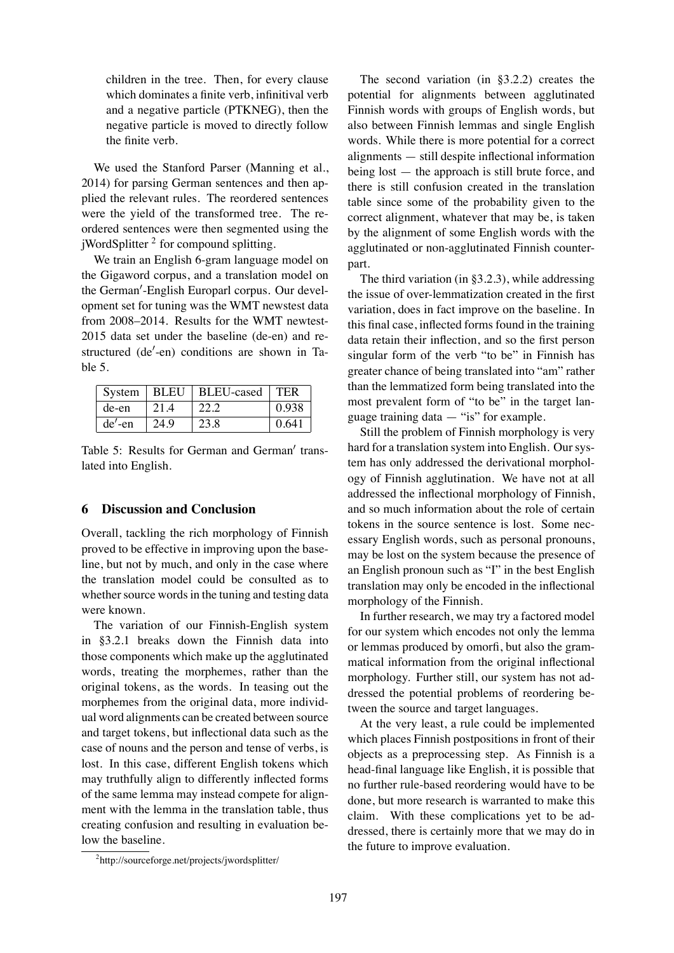children in the tree. Then, for every clause which dominates a finite verb, infinitival verb and a negative particle (PTKNEG), then the negative particle is moved to directly follow the finite verb.

We used the Stanford Parser (Manning et al., 2014) for parsing German sentences and then applied the relevant rules. The reordered sentences were the yield of the transformed tree. The reordered sentences were then segmented using the jWordSplitter<sup>2</sup> for compound splitting.

We train an English 6-gram language model on the Gigaword corpus, and a translation model on the German′ -English Europarl corpus. Our development set for tuning was the WMT newstest data from 2008–2014. Results for the WMT newtest-2015 data set under the baseline (de-en) and restructured (de′ -en) conditions are shown in Table 5.

|          |      | System   BLEU   BLEU-cased   TER |       |
|----------|------|----------------------------------|-------|
| de-en    | 21.4 | 22.2                             | 0.938 |
| $de'-en$ | 24.9 | 23.8                             | 0.641 |

Table 5: Results for German and German′ translated into English.

### **6 Discussion and Conclusion**

Overall, tackling the rich morphology of Finnish proved to be effective in improving upon the baseline, but not by much, and only in the case where the translation model could be consulted as to whether source words in the tuning and testing data were known.

The variation of our Finnish-English system in §3.2.1 breaks down the Finnish data into those components which make up the agglutinated words, treating the morphemes, rather than the original tokens, as the words. In teasing out the morphemes from the original data, more individual word alignments can be created between source and target tokens, but inflectional data such as the case of nouns and the person and tense of verbs, is lost. In this case, different English tokens which may truthfully align to differently inflected forms of the same lemma may instead compete for alignment with the lemma in the translation table, thus creating confusion and resulting in evaluation below the baseline.

The second variation (in §3.2.2) creates the potential for alignments between agglutinated Finnish words with groups of English words, but also between Finnish lemmas and single English words. While there is more potential for a correct alignments — still despite inflectional information being lost — the approach is still brute force, and there is still confusion created in the translation table since some of the probability given to the correct alignment, whatever that may be, is taken by the alignment of some English words with the agglutinated or non-agglutinated Finnish counterpart.

The third variation (in §3.2.3), while addressing the issue of over-lemmatization created in the first variation, does in fact improve on the baseline. In this final case, inflected forms found in the training data retain their inflection, and so the first person singular form of the verb "to be" in Finnish has greater chance of being translated into "am" rather than the lemmatized form being translated into the most prevalent form of "to be" in the target language training data  $-$  "is" for example.

Still the problem of Finnish morphology is very hard for a translation system into English. Our system has only addressed the derivational morphology of Finnish agglutination. We have not at all addressed the inflectional morphology of Finnish, and so much information about the role of certain tokens in the source sentence is lost. Some necessary English words, such as personal pronouns, may be lost on the system because the presence of an English pronoun such as "I" in the best English translation may only be encoded in the inflectional morphology of the Finnish.

In further research, we may try a factored model for our system which encodes not only the lemma or lemmas produced by omorfi, but also the grammatical information from the original inflectional morphology. Further still, our system has not addressed the potential problems of reordering between the source and target languages.

At the very least, a rule could be implemented which places Finnish postpositions in front of their objects as a preprocessing step. As Finnish is a head-final language like English, it is possible that no further rule-based reordering would have to be done, but more research is warranted to make this claim. With these complications yet to be addressed, there is certainly more that we may do in the future to improve evaluation.

<sup>&</sup>lt;sup>2</sup>http://sourceforge.net/projects/jwordsplitter/